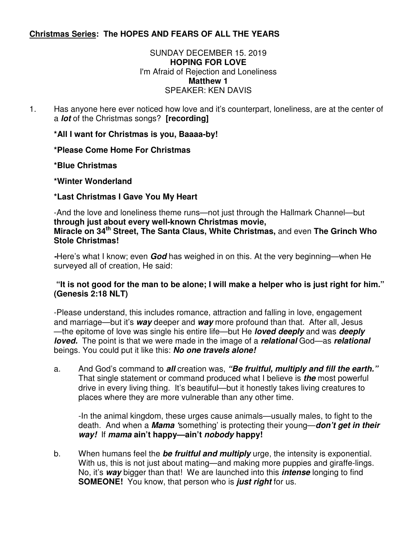# **Christmas Series: The HOPES AND FEARS OF ALL THE YEARS**

## SUNDAY DECEMBER 15. 2019 **HOPING FOR LOVE**  I'm Afraid of Rejection and Loneliness **Matthew 1**  SPEAKER: KEN DAVIS

1. Has anyone here ever noticed how love and it's counterpart, loneliness, are at the center of a **lot** of the Christmas songs? **[recording]** 

**\*All I want for Christmas is you, Baaaa-by!** 

**\*Please Come Home For Christmas** 

**\*Blue Christmas** 

**\*Winter Wonderland** 

**\*Last Christmas I Gave You My Heart** 

-And the love and loneliness theme runs—not just through the Hallmark Channel—but **through just about every well-known Christmas movie, Miracle on 34th Street, The Santa Claus, White Christmas,** and even **The Grinch Who Stole Christmas!** 

**-**Here's what I know; even **God** has weighed in on this. At the very beginning—when He surveyed all of creation, He said:

## **"It is not good for the man to be alone; I will make a helper who is just right for him." (Genesis 2:18 NLT)**

-Please understand, this includes romance, attraction and falling in love, engagement and marriage—but it's **way** deeper and **way** more profound than that. After all, Jesus —the epitome of love was single his entire life—but He **loved deeply** and was **deeply loved.** The point is that we were made in the image of a **relational** God—as **relational**  beings. You could put it like this: **No one travels alone!** 

a. And God's command to **all** creation was, **"Be fruitful, multiply and fill the earth."**  That single statement or command produced what I believe is **the** most powerful drive in every living thing. It's beautiful—but it honestly takes living creatures to places where they are more vulnerable than any other time.

-In the animal kingdom, these urges cause animals—usually males, to fight to the death. And when a **Mama '**something' is protecting their young—**don't get in their way!** If **mama ain't happy—ain't nobody happy!** 

b. When humans feel the **be fruitful and multiply** urge, the intensity is exponential. With us, this is not just about mating—and making more puppies and giraffe-lings. No, it's **way** bigger than that! We are launched into this **intense** longing to find **SOMEONE!** You know, that person who is **just right** for us.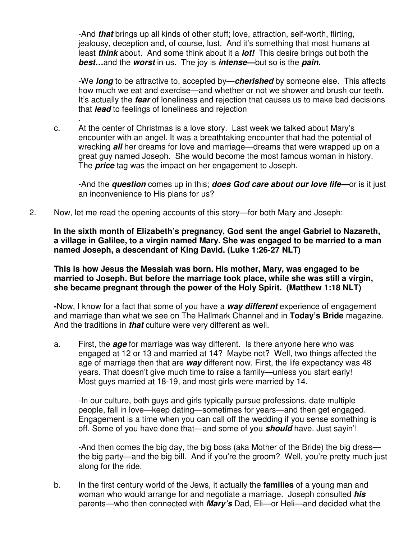-And **that** brings up all kinds of other stuff; love, attraction, self-worth, flirting, jealousy, deception and, of course, lust. And it's something that most humans at least **think** about. And some think about it a **lot!** This desire brings out both the **best…**and the **worst** in us. The joy is **intense—**but so is the **pain.** 

-We **long** to be attractive to, accepted by—**cherished** by someone else. This affects how much we eat and exercise—and whether or not we shower and brush our teeth. It's actually the **fear** of loneliness and rejection that causes us to make bad decisions that **lead** to feelings of loneliness and rejection

c. At the center of Christmas is a love story. Last week we talked about Mary's encounter with an angel. It was a breathtaking encounter that had the potential of wrecking **all** her dreams for love and marriage—dreams that were wrapped up on a great guy named Joseph. She would become the most famous woman in history. The **price** tag was the impact on her engagement to Joseph.

-And the **question** comes up in this; **does God care about our love life—**or is it just an inconvenience to His plans for us?

2. Now, let me read the opening accounts of this story—for both Mary and Joseph:

.

**In the sixth month of Elizabeth's pregnancy, God sent the angel Gabriel to Nazareth, a village in Galilee, to a virgin named Mary. She was engaged to be married to a man named Joseph, a descendant of King David. (Luke 1:26-27 NLT)** 

 **This is how Jesus the Messiah was born. His mother, Mary, was engaged to be married to Joseph. But before the marriage took place, while she was still a virgin, she became pregnant through the power of the Holy Spirit. (Matthew 1:18 NLT)** 

 **-**Now, I know for a fact that some of you have a **way different** experience of engagement and marriage than what we see on The Hallmark Channel and in **Today's Bride** magazine. And the traditions in **that** culture were very different as well.

a. First, the **age** for marriage was way different. Is there anyone here who was engaged at 12 or 13 and married at 14? Maybe not? Well, two things affected the age of marriage then that are **way** different now. First, the life expectancy was 48 years. That doesn't give much time to raise a family—unless you start early! Most guys married at 18-19, and most girls were married by 14.

-In our culture, both guys and girls typically pursue professions, date multiple people, fall in love—keep dating—sometimes for years—and then get engaged. Engagement is a time when you can call off the wedding if you sense something is off. Some of you have done that—and some of you **should** have. Just sayin'!

-And then comes the big day, the big boss (aka Mother of the Bride) the big dress the big party—and the big bill. And if you're the groom? Well, you're pretty much just along for the ride.

b. In the first century world of the Jews, it actually the **families** of a young man and woman who would arrange for and negotiate a marriage. Joseph consulted **his**  parents—who then connected with **Mary's** Dad, Eli—or Heli—and decided what the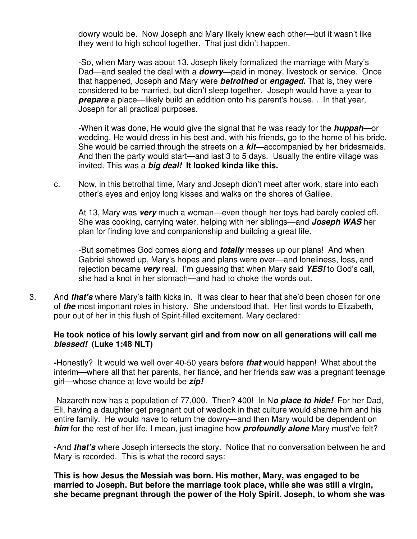dowry would be. Now Joseph and Mary likely knew each other—but it wasn't like they went to high school together. That just didn't happen.

-So, when Mary was about 13, Joseph likely formalized the marriage with Mary's Dad—and sealed the deal with a **dowry—**paid in money, livestock or service. Once that happened, Joseph and Mary were **betrothed** or **engaged.** That is, they were considered to be married, but didn't sleep together. Joseph would have a year to **prepare** a place—likely build an addition onto his parent's house. . In that year, Joseph for all practical purposes.

-When it was done, He would give the signal that he was ready for the **huppah—**or wedding. He would dress in his best and, with his friends, go to the home of his bride. She would be carried through the streets on a **kit—**accompanied by her bridesmaids. And then the party would start—and last 3 to 5 days. Usually the entire village was invited. This was a **big deal! It looked kinda like this.** 

c. Now, in this betrothal time, Mary and Joseph didn't meet after work, stare into each other's eyes and enjoy long kisses and walks on the shores of Galilee.

At 13, Mary was **very** much a woman—even though her toys had barely cooled off. She was cooking, carrying water, helping with her siblings—and **Joseph WAS** her plan for finding love and companionship and building a great life.

-But sometimes God comes along and **totally** messes up our plans! And when Gabriel showed up, Mary's hopes and plans were over—and loneliness, loss, and rejection became **very** real. I'm guessing that when Mary said **YES!** to God's call, she had a knot in her stomach—and had to choke the words out.

3. And **that's** where Mary's faith kicks in. It was clear to hear that she'd been chosen for one of **the** most important roles in history. She understood that. Her first words to Elizabeth, pour out of her in this flush of Spirit-filled excitement. Mary declared:

#### **He took notice of his lowly servant girl and from now on all generations will call me blessed! (Luke 1:48 NLT)**

**-**Honestly? It would we well over 40-50 years before **that** would happen! What about the interim—where all that her parents, her fiancé, and her friends saw was a pregnant teenage girl—whose chance at love would be **zip!** 

Nazareth now has a population of 77,000. Then? 400! In N**o place to hide!** For her Dad, Eli, having a daughter get pregnant out of wedlock in that culture would shame him and his entire family. He would have to return the dowry—and then Mary would be dependent on **him** for the rest of her life. I mean, just imagine how **profoundly alone** Mary must've felt?

-And **that's** where Joseph intersects the story. Notice that no conversation between he and Mary is recorded. This is what the record says:

**This is how Jesus the Messiah was born. His mother, Mary, was engaged to be married to Joseph. But before the marriage took place, while she was still a virgin, she became pregnant through the power of the Holy Spirit. Joseph, to whom she was**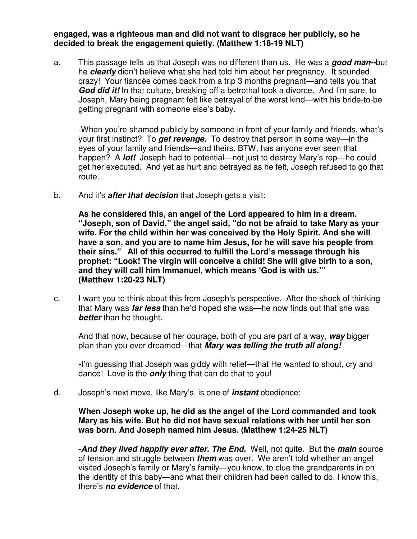**engaged, was a righteous man and did not want to disgrace her publicly, so he decided to break the engagement quietly. (Matthew 1:18-19 NLT)** 

a. This passage tells us that Joseph was no different than us. He was a **good man--**but he **clearly** didn't believe what she had told him about her pregnancy. It sounded crazy! Your fiancée comes back from a trip 3 months pregnant—and tells you that **God did it!** In that culture, breaking off a betrothal took a divorce. And I'm sure, to Joseph, Mary being pregnant felt like betrayal of the worst kind—with his bride-to-be getting pregnant with someone else's baby.

-When you're shamed publicly by someone in front of your family and friends, what's your first instinct? To **get revenge.** To destroy that person in some way—in the eyes of your family and friends—and theirs. BTW, has anyone ever seen that happen? A **lot!** Joseph had to potential—not just to destroy Mary's rep—he could get her executed. And yet as hurt and betrayed as he felt, Joseph refused to go that route.

b. And it's **after that decision** that Joseph gets a visit:

**As he considered this, an angel of the Lord appeared to him in a dream. "Joseph, son of David," the angel said, "do not be afraid to take Mary as your wife. For the child within her was conceived by the Holy Spirit. And she will have a son, and you are to name him Jesus, for he will save his people from their sins." All of this occurred to fulfill the Lord's message through his prophet: "Look! The virgin will conceive a child! She will give birth to a son, and they will call him Immanuel, which means 'God is with us.'" (Matthew 1:20-23 NLT)** 

c. I want you to think about this from Joseph's perspective. After the shock of thinking that Mary was **far less** than he'd hoped she was—he now finds out that she was **better** than he thought.

And that now, because of her courage, both of you are part of a way, **way** bigger plan than you ever dreamed—that **Mary was telling the truth all along!** 

**-**I'm guessing that Joseph was giddy with relief—that He wanted to shout, cry and dance! Love is the **only** thing that can do that to you!

d. Joseph's next move, like Mary's, is one of **instant** obedience:

## **When Joseph woke up, he did as the angel of the Lord commanded and took Mary as his wife. But he did not have sexual relations with her until her son was born. And Joseph named him Jesus. (Matthew 1:24-25 NLT)**

 **-And they lived happily ever after. The End.** Well, not quite. But the **main** source of tension and struggle between **them** was over. We aren't told whether an angel visited Joseph's family or Mary's family—you know, to clue the grandparents in on the identity of this baby—and what their children had been called to do. I know this, there's **no evidence** of that.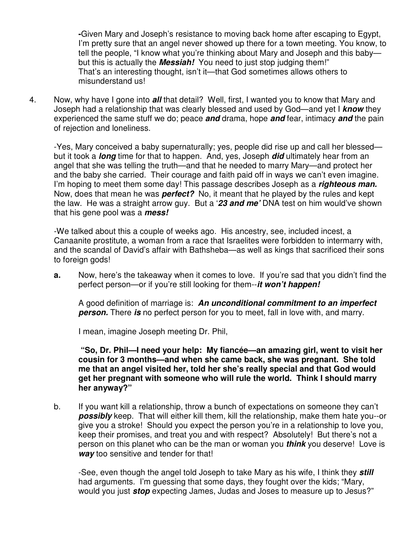**-**Given Mary and Joseph's resistance to moving back home after escaping to Egypt, I'm pretty sure that an angel never showed up there for a town meeting. You know, to tell the people, "I know what you're thinking about Mary and Joseph and this baby but this is actually the **Messiah!** You need to just stop judging them!" That's an interesting thought, isn't it—that God sometimes allows others to misunderstand us!

4. Now, why have I gone into **all** that detail? Well, first, I wanted you to know that Mary and Joseph had a relationship that was clearly blessed and used by God—and yet I **know** they experienced the same stuff we do; peace **and** drama, hope **and** fear, intimacy **and** the pain of rejection and loneliness.

-Yes, Mary conceived a baby supernaturally; yes, people did rise up and call her blessed but it took a **long** time for that to happen. And, yes, Joseph **did** ultimately hear from an angel that she was telling the truth—and that he needed to marry Mary—and protect her and the baby she carried. Their courage and faith paid off in ways we can't even imagine. I'm hoping to meet them some day! This passage describes Joseph as a **righteous man.**  Now, does that mean he was **perfect?** No, it meant that he played by the rules and kept the law. He was a straight arrow guy. But a '**23 and me'** DNA test on him would've shown that his gene pool was a **mess!** 

-We talked about this a couple of weeks ago. His ancestry, see, included incest, a Canaanite prostitute, a woman from a race that Israelites were forbidden to intermarry with, and the scandal of David's affair with Bathsheba—as well as kings that sacrificed their sons to foreign gods!

**a.** Now, here's the takeaway when it comes to love. If you're sad that you didn't find the perfect person—or if you're still looking for them--**it won't happen!** 

A good definition of marriage is: **An unconditional commitment to an imperfect person.** There **is** no perfect person for you to meet, fall in love with, and marry.

I mean, imagine Joseph meeting Dr. Phil,

 **"So, Dr. Phil—I need your help: My fiancée—an amazing girl, went to visit her cousin for 3 months—and when she came back, she was pregnant. She told me that an angel visited her, told her she's really special and that God would get her pregnant with someone who will rule the world. Think I should marry her anyway?"** 

b. If you want kill a relationship, throw a bunch of expectations on someone they can't **possibly** keep. That will either kill them, kill the relationship, make them hate you--or give you a stroke! Should you expect the person you're in a relationship to love you, keep their promises, and treat you and with respect? Absolutely! But there's not a person on this planet who can be the man or woman you **think** you deserve! Love is **way** too sensitive and tender for that!

 -See, even though the angel told Joseph to take Mary as his wife, I think they **still**  had arguments. I'm guessing that some days, they fought over the kids; "Mary, would you just **stop** expecting James, Judas and Joses to measure up to Jesus?"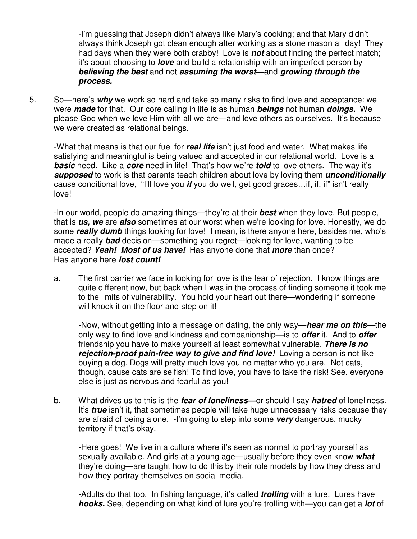-I'm guessing that Joseph didn't always like Mary's cooking; and that Mary didn't always think Joseph got clean enough after working as a stone mason all day! They had days when they were both crabby! Love is **not** about finding the perfect match; it's about choosing to **love** and build a relationship with an imperfect person by **believing the best** and not **assuming the worst—**and **growing through the process.** 

5. So—here's **why** we work so hard and take so many risks to find love and acceptance: we were **made** for that. Our core calling in life is as human **beings** not human **doings.** We please God when we love Him with all we are—and love others as ourselves. It's because we were created as relational beings.

-What that means is that our fuel for **real life** isn't just food and water. What makes life satisfying and meaningful is being valued and accepted in our relational world. Love is a **basic** need. Like a **core** need in life! That's how we're **told** to love others. The way it's **supposed** to work is that parents teach children about love by loving them **unconditionally**  cause conditional love, "I'll love you **if** you do well, get good graces…if, if, if" isn't really love!

-In our world, people do amazing things—they're at their **best** when they love. But people, that is **us, we** are **also** sometimes at our worst when we're looking for love. Honestly, we do some **really dumb** things looking for love! I mean, is there anyone here, besides me, who's made a really **bad** decision—something you regret—looking for love, wanting to be accepted? **Yeah! Most of us have!** Has anyone done that **more** than once? Has anyone here **lost count!** 

a. The first barrier we face in looking for love is the fear of rejection. I know things are quite different now, but back when I was in the process of finding someone it took me to the limits of vulnerability. You hold your heart out there—wondering if someone will knock it on the floor and step on it!

-Now, without getting into a message on dating, the only way—**hear me on this—**the only way to find love and kindness and companionship—is to **offer** it. And to **offer**  friendship you have to make yourself at least somewhat vulnerable. **There is no rejection-proof pain-free way to give and find love!** Loving a person is not like buying a dog. Dogs will pretty much love you no matter who you are. Not cats, though, cause cats are selfish! To find love, you have to take the risk! See, everyone else is just as nervous and fearful as you!

b. What drives us to this is the **fear of loneliness—**or should I say **hatred** of loneliness. It's **true** isn't it, that sometimes people will take huge unnecessary risks because they are afraid of being alone. -I'm going to step into some **very** dangerous, mucky territory if that's okay.

-Here goes! We live in a culture where it's seen as normal to portray yourself as sexually available. And girls at a young age—usually before they even know **what**  they're doing—are taught how to do this by their role models by how they dress and how they portray themselves on social media.

-Adults do that too. In fishing language, it's called **trolling** with a lure. Lures have **hooks.** See, depending on what kind of lure you're trolling with—you can get a **lot** of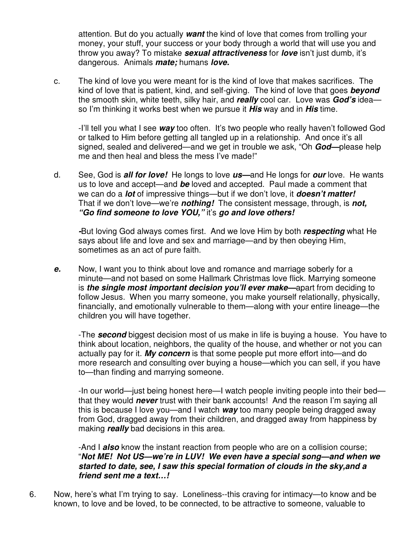attention. But do you actually **want** the kind of love that comes from trolling your money, your stuff, your success or your body through a world that will use you and throw you away? To mistake **sexual attractiveness** for **love** isn't just dumb, it's dangerous. Animals **mate;** humans **love.**

c. The kind of love you were meant for is the kind of love that makes sacrifices. The kind of love that is patient, kind, and self-giving. The kind of love that goes **beyond**  the smooth skin, white teeth, silky hair, and **really** cool car. Love was **God's** idea so I'm thinking it works best when we pursue it **His** way and in **His** time.

-I'll tell you what I see **way** too often. It's two people who really haven't followed God or talked to Him before getting all tangled up in a relationship. And once it's all signed, sealed and delivered—and we get in trouble we ask, "Oh **God—**please help me and then heal and bless the mess I've made!"

d. See, God is **all for love!** He longs to love **us—**and He longs for **our** love. He wants us to love and accept—and **be** loved and accepted. Paul made a comment that we can do a **lot** of impressive things—but if we don't love, it **doesn't matter!**  That if we don't love—we're **nothing!** The consistent message, through, is **not, "Go find someone to love YOU,"** it's **go and love others!** 

**-**But loving God always comes first. And we love Him by both **respecting** what He says about life and love and sex and marriage—and by then obeying Him, sometimes as an act of pure faith.

**e.** Now, I want you to think about love and romance and marriage soberly for a minute—and not based on some Hallmark Christmas love flick. Marrying someone is **the single most important decision you'll ever make—**apart from deciding to follow Jesus. When you marry someone, you make yourself relationally, physically, financially, and emotionally vulnerable to them—along with your entire lineage—the children you will have together.

-The **second** biggest decision most of us make in life is buying a house. You have to think about location, neighbors, the quality of the house, and whether or not you can actually pay for it. **My concern** is that some people put more effort into—and do more research and consulting over buying a house—which you can sell, if you have to—than finding and marrying someone.

-In our world—just being honest here—I watch people inviting people into their bed that they would **never** trust with their bank accounts! And the reason I'm saying all this is because I love you—and I watch **way** too many people being dragged away from God, dragged away from their children, and dragged away from happiness by making **really** bad decisions in this area.

-And I **also** know the instant reaction from people who are on a collision course; "**Not ME! Not US—we're in LUV! We even have a special song—and when we started to date, see, I saw this special formation of clouds in the sky,and a friend sent me a text…!** 

6. Now, here's what I'm trying to say. Loneliness--this craving for intimacy—to know and be known, to love and be loved, to be connected, to be attractive to someone, valuable to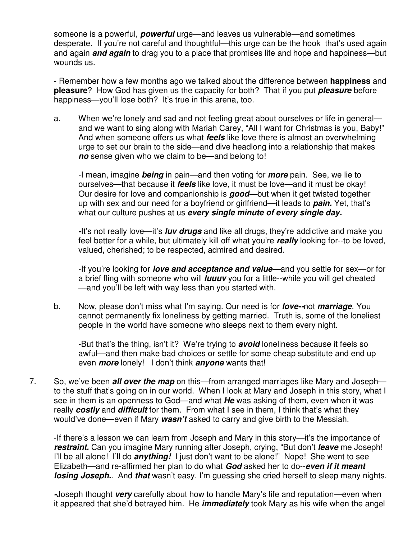someone is a powerful, **powerful** urge—and leaves us vulnerable—and sometimes desperate. If you're not careful and thoughtful—this urge can be the hook that's used again and again **and again** to drag you to a place that promises life and hope and happiness—but wounds us.

- Remember how a few months ago we talked about the difference between **happiness** and **pleasure**? How God has given us the capacity for both? That if you put **pleasure** before happiness—you'll lose both? It's true in this arena, too.

a. When we're lonely and sad and not feeling great about ourselves or life in general and we want to sing along with Mariah Carey, "All I want for Christmas is you, Baby!" And when someone offers us what **feels** like love there is almost an overwhelming urge to set our brain to the side—and dive headlong into a relationship that makes **no** sense given who we claim to be—and belong to!

-I mean, imagine **being** in pain—and then voting for **more** pain. See, we lie to ourselves—that because it **feels** like love, it must be love—and it must be okay! Our desire for love and companionship is **good—**but when it get twisted together up with sex and our need for a boyfriend or girlfriend—it leads to **pain.** Yet, that's what our culture pushes at us **every single minute of every single day.** 

**-**It's not really love—it's **luv drugs** and like all drugs, they're addictive and make you feel better for a while, but ultimately kill off what you're **really** looking for--to be loved, valued, cherished; to be respected, admired and desired.

 -If you're looking for **love and acceptance and value—**and you settle for sex—or for a brief fling with someone who will **luuuv** you for a little--while you will get cheated —and you'll be left with way less than you started with.

b. Now, please don't miss what I'm saying. Our need is for **love--**not **marriage**. You cannot permanently fix loneliness by getting married. Truth is, some of the loneliest people in the world have someone who sleeps next to them every night.

 -But that's the thing, isn't it? We're trying to **avoid** loneliness because it feels so awful—and then make bad choices or settle for some cheap substitute and end up even **more** lonely! I don't think **anyone** wants that!

7. So, we've been **all over the map** on this—from arranged marriages like Mary and Joseph to the stuff that's going on in our world. When I look at Mary and Joseph in this story, what I see in them is an openness to God—and what **He** was asking of them, even when it was really **costly** and **difficult** for them. From what I see in them, I think that's what they would've done—even if Mary **wasn't** asked to carry and give birth to the Messiah.

-If there's a lesson we can learn from Joseph and Mary in this story—it's the importance of **restraint.** Can you imagine Mary running after Joseph, crying, "But don't **leave** me Joseph! I'll be all alone! I'll do **anything!** I just don't want to be alone!" Nope! She went to see Elizabeth—and re-affirmed her plan to do what **God** asked her to do--**even if it meant losing Joseph.**. And **that** wasn't easy. I'm guessing she cried herself to sleep many nights.

**-**Joseph thought **very** carefully about how to handle Mary's life and reputation—even when it appeared that she'd betrayed him. He **immediately** took Mary as his wife when the angel